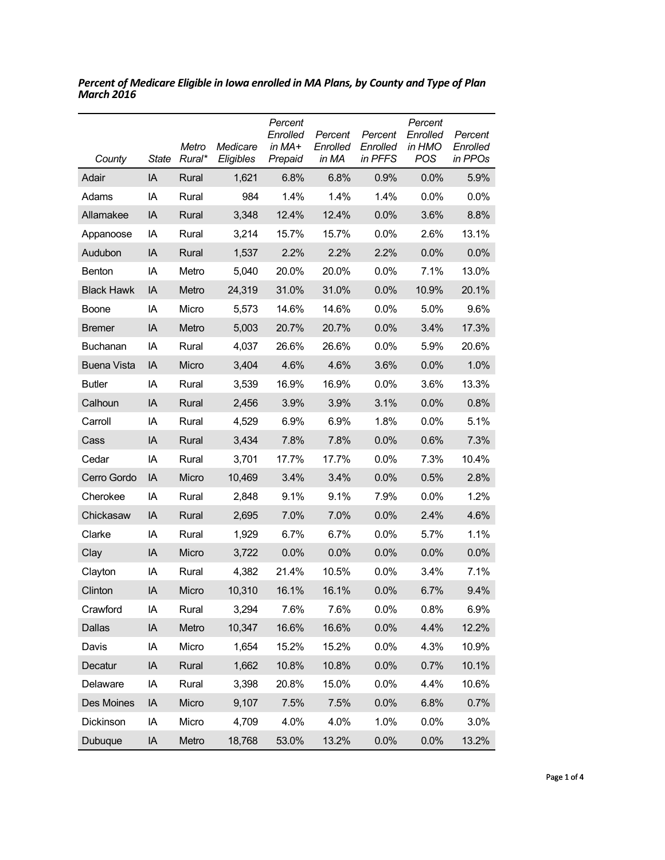| County             | <b>State</b> | Metro<br>Rural* | Medicare<br>Eligibles | Percent<br>Enrolled<br>in MA+<br>Prepaid | Percent<br>Enrolled<br>in MA | Percent<br>Enrolled<br>in PFFS | Percent<br>Enrolled<br>in HMO<br><b>POS</b> | Percent<br>Enrolled<br>in PPOs |
|--------------------|--------------|-----------------|-----------------------|------------------------------------------|------------------------------|--------------------------------|---------------------------------------------|--------------------------------|
| Adair              | IA           | Rural           | 1,621                 | 6.8%                                     | 6.8%                         | 0.9%                           | 0.0%                                        | 5.9%                           |
| Adams              | IA           | Rural           | 984                   | 1.4%                                     | 1.4%                         | 1.4%                           | 0.0%                                        | 0.0%                           |
| Allamakee          | IA           | Rural           | 3,348                 | 12.4%                                    | 12.4%                        | 0.0%                           | 3.6%                                        | 8.8%                           |
| Appanoose          | IA           | Rural           | 3,214                 | 15.7%                                    | 15.7%                        | 0.0%                           | 2.6%                                        | 13.1%                          |
| Audubon            | IA           | Rural           | 1,537                 | 2.2%                                     | 2.2%                         | 2.2%                           | 0.0%                                        | 0.0%                           |
| Benton             | IA           | Metro           | 5,040                 | 20.0%                                    | 20.0%                        | 0.0%                           | 7.1%                                        | 13.0%                          |
| <b>Black Hawk</b>  | IA           | Metro           | 24,319                | 31.0%                                    | 31.0%                        | 0.0%                           | 10.9%                                       | 20.1%                          |
| Boone              | IA           | Micro           | 5,573                 | 14.6%                                    | 14.6%                        | 0.0%                           | 5.0%                                        | 9.6%                           |
| <b>Bremer</b>      | IA           | Metro           | 5,003                 | 20.7%                                    | 20.7%                        | 0.0%                           | 3.4%                                        | 17.3%                          |
| Buchanan           | IA           | Rural           | 4,037                 | 26.6%                                    | 26.6%                        | 0.0%                           | 5.9%                                        | 20.6%                          |
| <b>Buena Vista</b> | IA           | Micro           | 3,404                 | 4.6%                                     | 4.6%                         | 3.6%                           | 0.0%                                        | 1.0%                           |
| <b>Butler</b>      | IA           | Rural           | 3,539                 | 16.9%                                    | 16.9%                        | 0.0%                           | 3.6%                                        | 13.3%                          |
| Calhoun            | IA           | Rural           | 2,456                 | 3.9%                                     | 3.9%                         | 3.1%                           | 0.0%                                        | 0.8%                           |
| Carroll            | IA           | Rural           | 4,529                 | 6.9%                                     | 6.9%                         | 1.8%                           | 0.0%                                        | 5.1%                           |
| Cass               | IA           | Rural           | 3,434                 | 7.8%                                     | 7.8%                         | 0.0%                           | 0.6%                                        | 7.3%                           |
| Cedar              | IA           | Rural           | 3,701                 | 17.7%                                    | 17.7%                        | 0.0%                           | 7.3%                                        | 10.4%                          |
| Cerro Gordo        | IA           | Micro           | 10,469                | 3.4%                                     | 3.4%                         | 0.0%                           | 0.5%                                        | 2.8%                           |
| Cherokee           | IA           | Rural           | 2,848                 | 9.1%                                     | 9.1%                         | 7.9%                           | 0.0%                                        | 1.2%                           |
| Chickasaw          | IA           | Rural           | 2,695                 | 7.0%                                     | 7.0%                         | 0.0%                           | 2.4%                                        | 4.6%                           |
| Clarke             | IA           | Rural           | 1,929                 | 6.7%                                     | 6.7%                         | 0.0%                           | 5.7%                                        | 1.1%                           |
| Clay               | IA           | Micro           | 3,722                 | 0.0%                                     | 0.0%                         | 0.0%                           | 0.0%                                        | 0.0%                           |
| Clayton            | IA           | Rural           | 4,382                 | 21.4%                                    | 10.5%                        | 0.0%                           | 3.4%                                        | 7.1%                           |
| Clinton            | IA           | Micro           | 10,310                | 16.1%                                    | 16.1%                        | 0.0%                           | 6.7%                                        | 9.4%                           |
| Crawford           | IA           | Rural           | 3,294                 | 7.6%                                     | 7.6%                         | 0.0%                           | 0.8%                                        | 6.9%                           |
| Dallas             | IA           | Metro           | 10,347                | 16.6%                                    | 16.6%                        | 0.0%                           | 4.4%                                        | 12.2%                          |
| Davis              | IA           | Micro           | 1,654                 | 15.2%                                    | 15.2%                        | 0.0%                           | 4.3%                                        | 10.9%                          |
| Decatur            | IA           | Rural           | 1,662                 | 10.8%                                    | 10.8%                        | 0.0%                           | 0.7%                                        | 10.1%                          |
| Delaware           | IA           | Rural           | 3,398                 | 20.8%                                    | 15.0%                        | 0.0%                           | 4.4%                                        | 10.6%                          |
| Des Moines         | IA           | Micro           | 9,107                 | 7.5%                                     | 7.5%                         | 0.0%                           | 6.8%                                        | 0.7%                           |
| Dickinson          | IA           | Micro           | 4,709                 | 4.0%                                     | 4.0%                         | 1.0%                           | 0.0%                                        | 3.0%                           |
| Dubuque            | IA           | Metro           | 18,768                | 53.0%                                    | 13.2%                        | 0.0%                           | 0.0%                                        | 13.2%                          |

*Percent of Medicare Eligible in Iowa enrolled in MA Plans, by County and Type of Plan March 2016*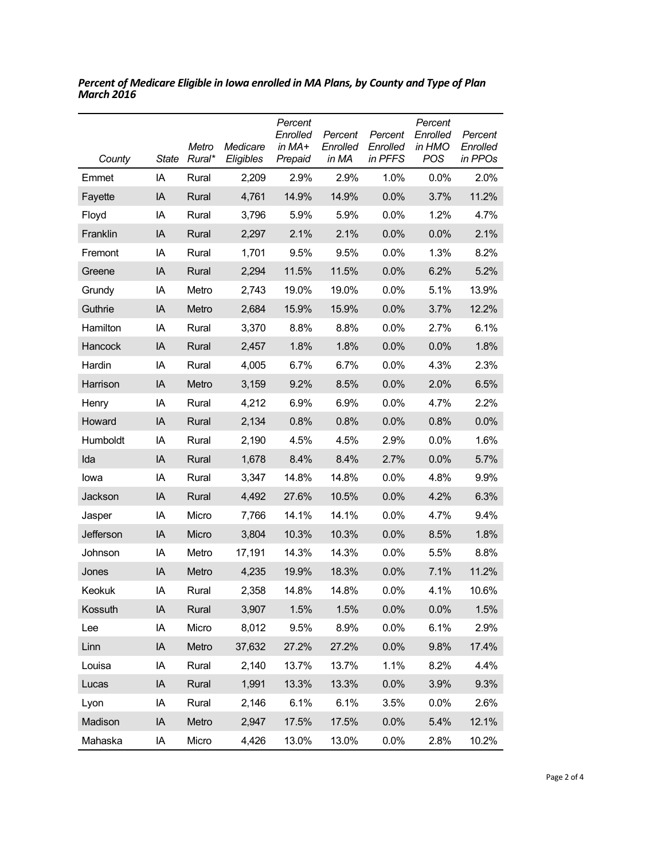| County    | State | Metro<br>Rural* | Medicare<br>Eligibles | Percent<br>Enrolled<br>in MA+<br>Prepaid | Percent<br>Enrolled<br>in MA | Percent<br>Enrolled<br>in PFFS | Percent<br>Enrolled<br>in HMO<br><b>POS</b> | Percent<br>Enrolled<br>in PPOs |
|-----------|-------|-----------------|-----------------------|------------------------------------------|------------------------------|--------------------------------|---------------------------------------------|--------------------------------|
| Emmet     | IA    | Rural           | 2,209                 | 2.9%                                     | 2.9%                         | 1.0%                           | 0.0%                                        | 2.0%                           |
| Fayette   | IA    | Rural           | 4,761                 | 14.9%                                    | 14.9%                        | 0.0%                           | 3.7%                                        | 11.2%                          |
| Floyd     | IA    | Rural           | 3,796                 | 5.9%                                     | 5.9%                         | 0.0%                           | 1.2%                                        | 4.7%                           |
| Franklin  | IA    | Rural           | 2,297                 | 2.1%                                     | 2.1%                         | 0.0%                           | 0.0%                                        | 2.1%                           |
| Fremont   | IA    | Rural           | 1,701                 | 9.5%                                     | 9.5%                         | 0.0%                           | 1.3%                                        | 8.2%                           |
| Greene    | IA    | Rural           | 2,294                 | 11.5%                                    | 11.5%                        | 0.0%                           | 6.2%                                        | 5.2%                           |
| Grundy    | IA    | Metro           | 2,743                 | 19.0%                                    | 19.0%                        | 0.0%                           | 5.1%                                        | 13.9%                          |
| Guthrie   | IA    | Metro           | 2,684                 | 15.9%                                    | 15.9%                        | 0.0%                           | 3.7%                                        | 12.2%                          |
| Hamilton  | IA    | Rural           | 3,370                 | 8.8%                                     | 8.8%                         | 0.0%                           | 2.7%                                        | 6.1%                           |
| Hancock   | IA    | Rural           | 2,457                 | 1.8%                                     | 1.8%                         | 0.0%                           | 0.0%                                        | 1.8%                           |
| Hardin    | IA    | Rural           | 4,005                 | 6.7%                                     | 6.7%                         | 0.0%                           | 4.3%                                        | 2.3%                           |
| Harrison  | IA    | Metro           | 3,159                 | 9.2%                                     | 8.5%                         | 0.0%                           | 2.0%                                        | 6.5%                           |
| Henry     | IA    | Rural           | 4,212                 | 6.9%                                     | 6.9%                         | 0.0%                           | 4.7%                                        | 2.2%                           |
| Howard    | IA    | Rural           | 2,134                 | 0.8%                                     | 0.8%                         | 0.0%                           | 0.8%                                        | 0.0%                           |
| Humboldt  | IA    | Rural           | 2,190                 | 4.5%                                     | 4.5%                         | 2.9%                           | 0.0%                                        | 1.6%                           |
| Ida       | IA    | Rural           | 1,678                 | 8.4%                                     | 8.4%                         | 2.7%                           | 0.0%                                        | 5.7%                           |
| lowa      | IA    | Rural           | 3,347                 | 14.8%                                    | 14.8%                        | 0.0%                           | 4.8%                                        | 9.9%                           |
| Jackson   | IA    | Rural           | 4,492                 | 27.6%                                    | 10.5%                        | 0.0%                           | 4.2%                                        | 6.3%                           |
| Jasper    | IA    | Micro           | 7,766                 | 14.1%                                    | 14.1%                        | 0.0%                           | 4.7%                                        | 9.4%                           |
| Jefferson | IA    | Micro           | 3,804                 | 10.3%                                    | 10.3%                        | 0.0%                           | 8.5%                                        | 1.8%                           |
| Johnson   | IA    | Metro           | 17,191                | 14.3%                                    | 14.3%                        | 0.0%                           | 5.5%                                        | 8.8%                           |
| Jones     | IA    | Metro           | 4,235                 | 19.9%                                    | 18.3%                        | 0.0%                           | 7.1%                                        | 11.2%                          |
| Keokuk    | IA    | Rural           | 2,358                 | 14.8%                                    | 14.8%                        | 0.0%                           | 4.1%                                        | 10.6%                          |
| Kossuth   | IA    | Rural           | 3,907                 | 1.5%                                     | 1.5%                         | 0.0%                           | 0.0%                                        | 1.5%                           |
| Lee       | IA    | Micro           | 8,012                 | 9.5%                                     | 8.9%                         | 0.0%                           | 6.1%                                        | 2.9%                           |
| Linn      | IA    | Metro           | 37,632                | 27.2%                                    | 27.2%                        | 0.0%                           | 9.8%                                        | 17.4%                          |
| Louisa    | IA    | Rural           | 2,140                 | 13.7%                                    | 13.7%                        | 1.1%                           | 8.2%                                        | 4.4%                           |
| Lucas     | IA    | Rural           | 1,991                 | 13.3%                                    | 13.3%                        | 0.0%                           | 3.9%                                        | 9.3%                           |
| Lyon      | IA    | Rural           | 2,146                 | 6.1%                                     | 6.1%                         | 3.5%                           | 0.0%                                        | 2.6%                           |
| Madison   | IA    | Metro           | 2,947                 | 17.5%                                    | 17.5%                        | 0.0%                           | 5.4%                                        | 12.1%                          |
| Mahaska   | IA    | Micro           | 4,426                 | 13.0%                                    | 13.0%                        | 0.0%                           | 2.8%                                        | 10.2%                          |

*Percent of Medicare Eligible in Iowa enrolled in MA Plans, by County and Type of Plan March 2016*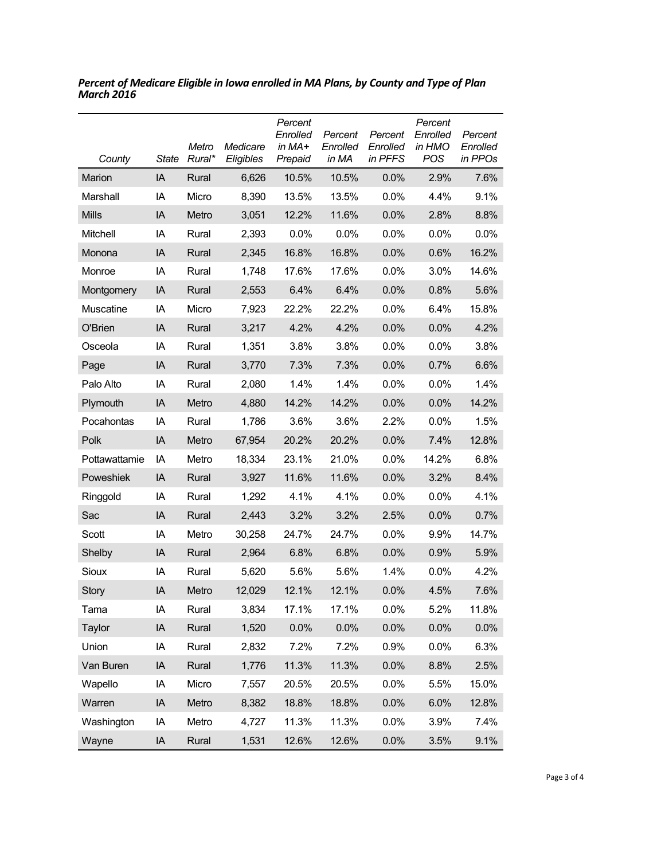| County        | State | Metro<br>Rural* | Medicare<br>Eligibles | Percent<br>Enrolled<br>in $MA+$<br>Prepaid | Percent<br>Enrolled<br>in MA | Percent<br>Enrolled<br>in PFFS | Percent<br>Enrolled<br>in HMO<br><b>POS</b> | Percent<br>Enrolled<br>in PPOs |
|---------------|-------|-----------------|-----------------------|--------------------------------------------|------------------------------|--------------------------------|---------------------------------------------|--------------------------------|
| Marion        | IA    | Rural           | 6,626                 | 10.5%                                      | 10.5%                        | $0.0\%$                        | 2.9%                                        | 7.6%                           |
| Marshall      | IA    | Micro           | 8,390                 | 13.5%                                      | 13.5%                        | $0.0\%$                        | 4.4%                                        | 9.1%                           |
| <b>Mills</b>  | IA    | Metro           | 3,051                 | 12.2%                                      | 11.6%                        | 0.0%                           | 2.8%                                        | 8.8%                           |
| Mitchell      | IA    | Rural           | 2,393                 | 0.0%                                       | 0.0%                         | $0.0\%$                        | 0.0%                                        | $0.0\%$                        |
| Monona        | IA    | Rural           | 2,345                 | 16.8%                                      | 16.8%                        | 0.0%                           | 0.6%                                        | 16.2%                          |
| Monroe        | IA    | Rural           | 1,748                 | 17.6%                                      | 17.6%                        | $0.0\%$                        | 3.0%                                        | 14.6%                          |
| Montgomery    | IA    | Rural           | 2,553                 | 6.4%                                       | 6.4%                         | 0.0%                           | 0.8%                                        | 5.6%                           |
| Muscatine     | IA    | Micro           | 7,923                 | 22.2%                                      | 22.2%                        | 0.0%                           | 6.4%                                        | 15.8%                          |
| O'Brien       | IA    | Rural           | 3,217                 | 4.2%                                       | 4.2%                         | 0.0%                           | 0.0%                                        | 4.2%                           |
| Osceola       | IA    | Rural           | 1,351                 | 3.8%                                       | 3.8%                         | 0.0%                           | 0.0%                                        | 3.8%                           |
| Page          | IA    | Rural           | 3,770                 | 7.3%                                       | 7.3%                         | 0.0%                           | 0.7%                                        | 6.6%                           |
| Palo Alto     | IA    | Rural           | 2,080                 | 1.4%                                       | 1.4%                         | 0.0%                           | 0.0%                                        | 1.4%                           |
| Plymouth      | IA    | Metro           | 4,880                 | 14.2%                                      | 14.2%                        | 0.0%                           | 0.0%                                        | 14.2%                          |
| Pocahontas    | IA    | Rural           | 1,786                 | 3.6%                                       | 3.6%                         | $2.2\%$                        | 0.0%                                        | 1.5%                           |
| Polk          | IA    | Metro           | 67,954                | 20.2%                                      | 20.2%                        | 0.0%                           | 7.4%                                        | 12.8%                          |
| Pottawattamie | IA    | Metro           | 18,334                | 23.1%                                      | 21.0%                        | 0.0%                           | 14.2%                                       | 6.8%                           |
| Poweshiek     | IA    | Rural           | 3,927                 | 11.6%                                      | 11.6%                        | 0.0%                           | 3.2%                                        | 8.4%                           |
| Ringgold      | ΙA    | Rural           | 1,292                 | 4.1%                                       | 4.1%                         | $0.0\%$                        | 0.0%                                        | 4.1%                           |
| Sac           | IA    | Rural           | 2,443                 | 3.2%                                       | 3.2%                         | 2.5%                           | 0.0%                                        | 0.7%                           |
| Scott         | ΙA    | Metro           | 30,258                | 24.7%                                      | 24.7%                        | 0.0%                           | 9.9%                                        | 14.7%                          |
| Shelby        | IA    | Rural           | 2,964                 | 6.8%                                       | 6.8%                         | 0.0%                           | 0.9%                                        | 5.9%                           |
| Sioux         | IA    | Rural           | 5,620                 | 5.6%                                       | 5.6%                         | 1.4%                           | 0.0%                                        | 4.2%                           |
| <b>Story</b>  | IA    | Metro           | 12,029                | 12.1%                                      | 12.1%                        | 0.0%                           | 4.5%                                        | 7.6%                           |
| Tama          | ΙA    | Rural           | 3,834                 | 17.1%                                      | 17.1%                        | 0.0%                           | 5.2%                                        | 11.8%                          |
| Taylor        | IA    | Rural           | 1,520                 | 0.0%                                       | 0.0%                         | 0.0%                           | 0.0%                                        | 0.0%                           |
| Union         | ΙA    | Rural           | 2,832                 | 7.2%                                       | 7.2%                         | 0.9%                           | 0.0%                                        | 6.3%                           |
| Van Buren     | IA    | Rural           | 1,776                 | 11.3%                                      | 11.3%                        | 0.0%                           | 8.8%                                        | 2.5%                           |
| Wapello       | ΙA    | Micro           | 7,557                 | 20.5%                                      | 20.5%                        | 0.0%                           | 5.5%                                        | 15.0%                          |
| Warren        | IA    | Metro           | 8,382                 | 18.8%                                      | 18.8%                        | 0.0%                           | 6.0%                                        | 12.8%                          |
| Washington    | IA    | Metro           | 4,727                 | 11.3%                                      | 11.3%                        | 0.0%                           | 3.9%                                        | 7.4%                           |
| Wayne         | IA    | Rural           | 1,531                 | 12.6%                                      | 12.6%                        | 0.0%                           | 3.5%                                        | 9.1%                           |

*Percent of Medicare Eligible in Iowa enrolled in MA Plans, by County and Type of Plan March 2016*